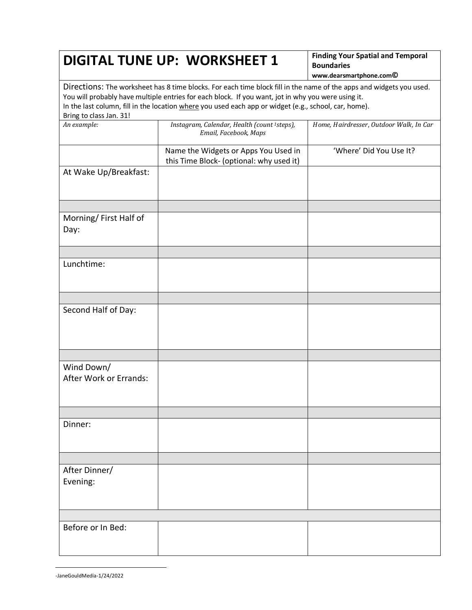## **DIGITAL TUNE UP: WORKSHEET 1 Finding Your Spatial and Temporal**

**Boundaries www.dearsmartphone.com©**

Directions: The worksheet has 8 time blocks. For each time block fill in the name of the apps and widgets you used. You will probably have multiple entries for each block. If you want, jot in why you were using it. In the last column, fill in the location where you used each app or widget (e.g., school, car, home). Bring to class Jan. 31!

| An example:                          | Instagram, Calendar, Health (count <sup>1</sup> steps),<br>Email, Facebook, Maps | Home, Hairdresser, Outdoor Walk, In Car |
|--------------------------------------|----------------------------------------------------------------------------------|-----------------------------------------|
|                                      | Name the Widgets or Apps You Used in<br>this Time Block- (optional: why used it) | 'Where' Did You Use It?                 |
| At Wake Up/Breakfast:                |                                                                                  |                                         |
|                                      |                                                                                  |                                         |
| Morning/First Half of<br>Day:        |                                                                                  |                                         |
|                                      |                                                                                  |                                         |
| Lunchtime:                           |                                                                                  |                                         |
|                                      |                                                                                  |                                         |
| Second Half of Day:                  |                                                                                  |                                         |
|                                      |                                                                                  |                                         |
| Wind Down/<br>After Work or Errands: |                                                                                  |                                         |
|                                      |                                                                                  |                                         |
| Dinner:                              |                                                                                  |                                         |
|                                      |                                                                                  |                                         |
| After Dinner/<br>Evening:            |                                                                                  |                                         |
|                                      |                                                                                  |                                         |
| Before or In Bed:                    |                                                                                  |                                         |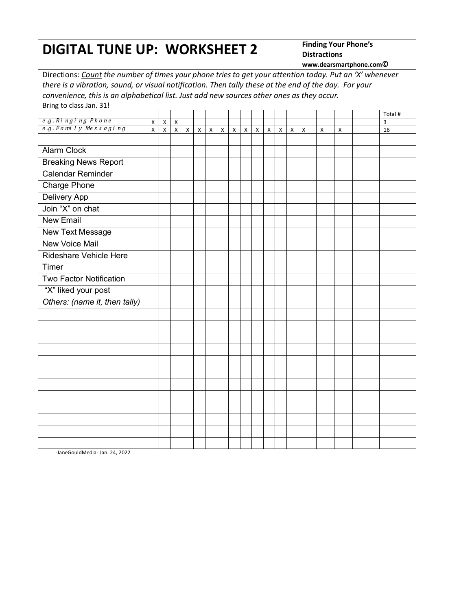## **DIGITAL TUNE UP: WORKSHEET 2 Finding Your Phone's**

**Distractions**

**www.dearsmartphone.com©** Directions: *Count the number of times your phone tries to get your attention today. Put an 'X' whenever there is a vibration, sound, or visual notification. Then tally these at the end of the day. For your convenience, this is an alphabetical list. Just add new sources other ones as they occur.* Bring to class Jan. 31! Total # *e* .*g* . *Ri ngi ng Phone* X X X 3 *e* .*g* . *F a mi l y Me s s a g i n g* X X X X X X X X X X X X X X X X 16 Alarm Clock Breaking News Report Calendar Reminder Charge Phone Delivery App Join "X" on chat New Email New Text Message New Voice Mail Rideshare Vehicle Here **Timer** Two Factor Notification "X" liked your post *Others: (name it, then tally)*

-JaneGouldMedia- Jan. 24, 2022